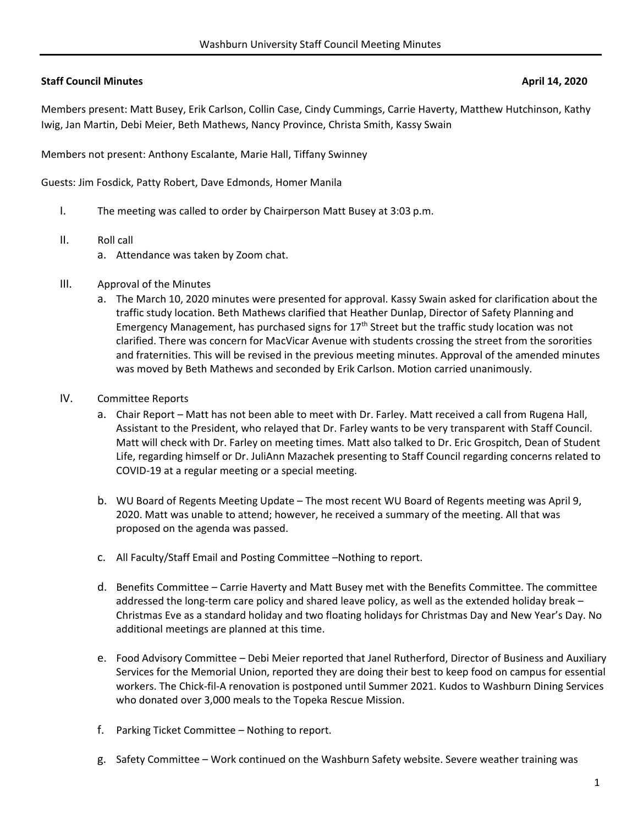# **Staff Council Minutes April 14, 2020**

Members present: Matt Busey, Erik Carlson, Collin Case, Cindy Cummings, Carrie Haverty, Matthew Hutchinson, Kathy Iwig, Jan Martin, Debi Meier, Beth Mathews, Nancy Province, Christa Smith, Kassy Swain

Members not present: Anthony Escalante, Marie Hall, Tiffany Swinney

Guests: Jim Fosdick, Patty Robert, Dave Edmonds, Homer Manila

- I. The meeting was called to order by Chairperson Matt Busey at 3:03 p.m.
- II. Roll call
	- a. Attendance was taken by Zoom chat.
- III. Approval of the Minutes
	- a. The March 10, 2020 minutes were presented for approval. Kassy Swain asked for clarification about the traffic study location. Beth Mathews clarified that Heather Dunlap, Director of Safety Planning and Emergency Management, has purchased signs for  $17<sup>th</sup>$  Street but the traffic study location was not clarified. There was concern for MacVicar Avenue with students crossing the street from the sororities and fraternities. This will be revised in the previous meeting minutes. Approval of the amended minutes was moved by Beth Mathews and seconded by Erik Carlson. Motion carried unanimously.
- IV. Committee Reports
	- a. Chair Report Matt has not been able to meet with Dr. Farley. Matt received a call from Rugena Hall, Assistant to the President, who relayed that Dr. Farley wants to be very transparent with Staff Council. Matt will check with Dr. Farley on meeting times. Matt also talked to Dr. Eric Grospitch, Dean of Student Life, regarding himself or Dr. JuliAnn Mazachek presenting to Staff Council regarding concerns related to COVID‐19 at a regular meeting or a special meeting.
	- b. WU Board of Regents Meeting Update The most recent WU Board of Regents meeting was April 9, 2020. Matt was unable to attend; however, he received a summary of the meeting. All that was proposed on the agenda was passed.
	- c. All Faculty/Staff Email and Posting Committee –Nothing to report.
	- d. Benefits Committee Carrie Haverty and Matt Busey met with the Benefits Committee. The committee addressed the long-term care policy and shared leave policy, as well as the extended holiday break -Christmas Eve as a standard holiday and two floating holidays for Christmas Day and New Year's Day. No additional meetings are planned at this time.
	- e. Food Advisory Committee Debi Meier reported that Janel Rutherford, Director of Business and Auxiliary Services for the Memorial Union, reported they are doing their best to keep food on campus for essential workers. The Chick‐fil‐A renovation is postponed until Summer 2021. Kudos to Washburn Dining Services who donated over 3,000 meals to the Topeka Rescue Mission.
	- f. Parking Ticket Committee Nothing to report.
	- g. Safety Committee Work continued on the Washburn Safety website. Severe weather training was